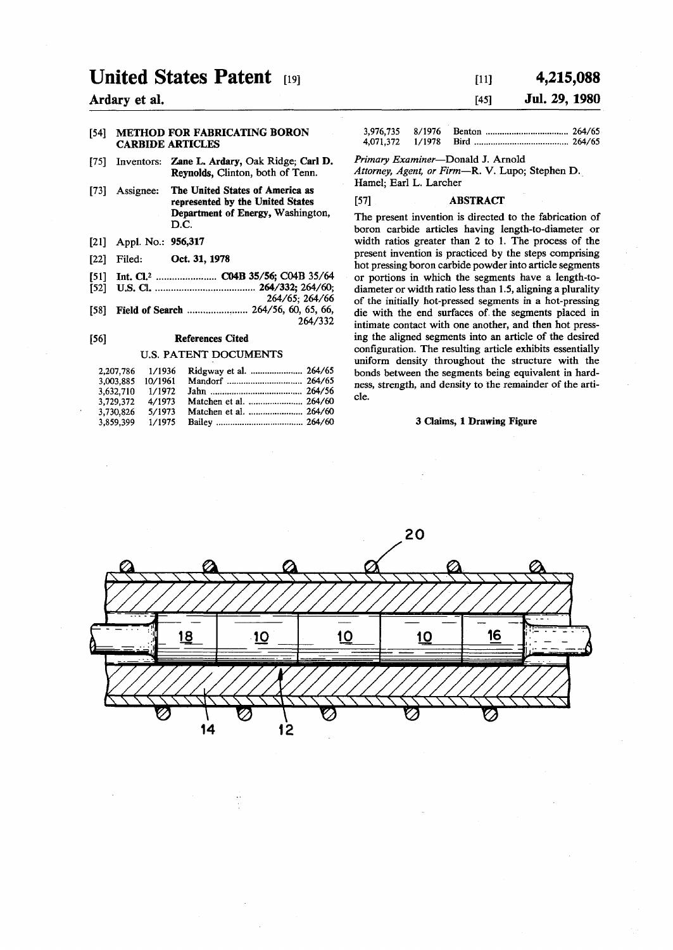# **United States Patent 191**

## Ardary et al.

#### **[54] METHOD FOR FABRICATING BORON CARBIDE ARTICLES**

- **[75] Inventors: Zane L. Ardary, Oak Ridge; Carl D. Reynolds, Clinton, both of Tenn.**
- **[73] Assignee: The United States of America as represented by the United States Department of Energy, Washington, D.C.**
- **[21] Appl. No.: 956,317**
- **[22] Filed: Oct. 31,1978**
- **[51] Int. CI.<sup>2</sup> C04B 35/56; C04B 35/64**
- **[52] U.S. a 264/332; 264/60;**
- **264/65; 264/66**  [58] **Field of Search ....................... 264/56, 60, 65, 66,**

**264/332** 

#### **[56] References Cited**

#### **U.S. PATENT DOCUMENTS**

| 2.207.786 | 1/1936  |  |
|-----------|---------|--|
| 3.003.885 | 10/1961 |  |
| 3.632.710 | 1/1972  |  |
| 3,729,372 | 4/1973  |  |
| 3,730,826 | 5/1973  |  |
| 3.859.399 | 1/1975  |  |

## **[ii] 4,215,088**

## **[45] Jul. 29, 1980**

| 3,976,735 |  |  |
|-----------|--|--|
| 4,071,372 |  |  |

*Primary Examiner***—Donald J. Arnold** 

*Attorney, Agent, or Firm***—R. V. Lupo; Stephen D. Hamel; Earl L. Larcher** 

#### **[57] ABSTRACT**

**The present invention is directed to the fabrication of boron carbide articles having length-to-diameter or width ratios greater than 2 to 1. The process of the present invention is practiced by the steps comprising hot pressing boron carbide powder into article segments or portions in which the segments have a length-todiameter or width ratio less than 1.5, aligning a plurality of the initially hot-pressed segments in a hot-pressing die with the end surfaces of. the segments placed in intimate contact with one another, and then hot pressing the aligned segments into an article of the desired configuration. The resulting article exhibits essentially uniform density throughout the structure with the bonds between the segments being equivalent in hardness, strength, and density to the remainder of the article.** 

#### **3 Claims, 1 Drawing Figure**

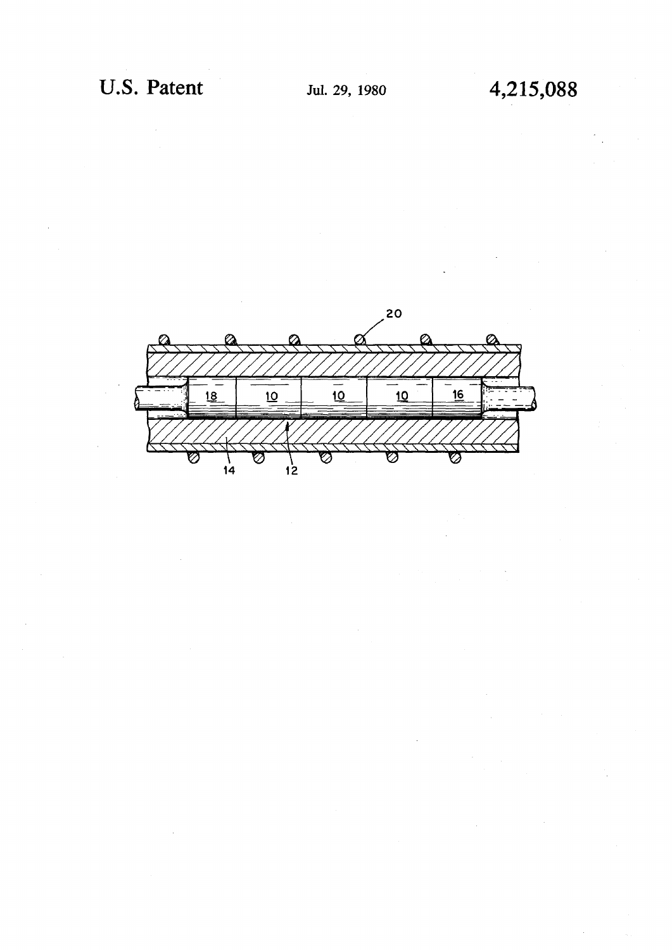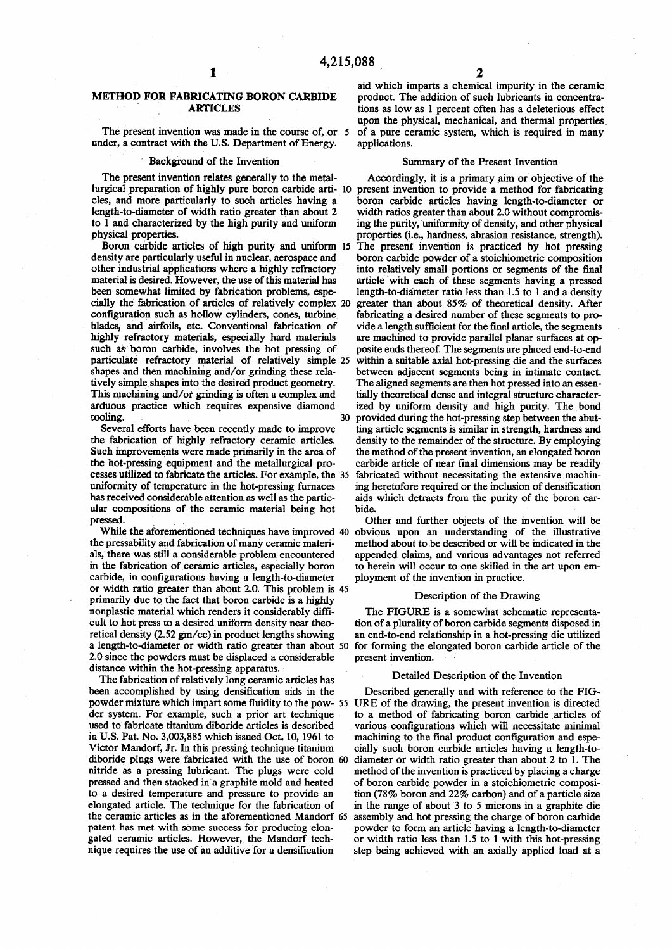### **METHOD FOR FABRICATING BORON CARBIDE ARTICLES**

**The present invention was made in the course of, or 5 under, a contract with the U.S. Department of Energy.** 

#### **Background of the Invention**

**The present invention relates generally to the metallurgical preparation of highly pure boron carbide arti- 10 cles, and more particularly to such articles having a length-to-diameter of width ratio greater than about 2 to 1 and characterized by the high purity and uniform physical properties.** 

**Boron carbide articles of high purity and uniform 15 density are particularly useful in nuclear, aerospace and other industrial applications where a highly refractory material is desired. However, the use of this material has been somewhat limited by fabrication problems, especially the fabrication of articles of relatively complex 20 configuration such as hollow cylinders, cones, turbine blades, and airfoils, etc. Conventional fabrication of highly refriactory materials, especially hard materials such as boron carbide, involves the hot pressing of particulate refractory material of relatively simple 25 shapes and then machining and/or grinding these relatively simple shapes into the desired product geometry. This machining and/or grinding is often a complex and arduous practice which requires expensive diamond tooling. 30** 

**Several efforts have been recently made to improve the fabrication of highly refractory ceramic articles. Such improvements were made primarily in the area of the hot-pressing equipment and the metallurgical processes utilized to fabricate the articles. For example, the 35 uniformity of temperature in the hot-pressing furnaces has received considerable attention as well as the particular compositions of the ceramic material being hot pressed.** 

**While the aforementioned techniques have improved 40 the pressability and fabrication of many ceramic materials, there was still a considerable problem encountered in the fabrication of ceramic articles, especially boron carbide, in configurations having a length-to-diameter or width ratio greater than about 2.0. This problem is 45 primarily due to the fact that boron carbide is a highly nonplastic material which renders it considerably difficult to hot press to a desired uniform density near theoretical density (2.52 gm/cc) in product lengths showing a length-to-diameter or width ratio greater than about 50 2.0 since the powders must be displaced a considerable distance within the hot-pressing apparatus.** 

**The fabrication of relatively long ceramic articles has been accomplished by using densification aids in the powder mixture which impart some fluidity to the pow- 55 URE of the drawing, the present invention is directed der system. For example, such a prior art technique used to fabricate titanium diboride articles is described in U.S. Pat. No. 3,003,885 which issued Oct. 10, 1961 to Victor Mandorf, Jr. In this pressing technique titanium diboride plugs were fabricated with the use of boron 60 nitride as a pressing lubricant. The plugs were cold pressed and then stacked in a graphite mold and heated to a desired temperature and pressure to provide an elongated article. The technique for the fabrication of the ceramic articles as in the aforementioned Mandorf 65 patent has met with some success for producing elongated ceramic articles. However, the Mandorf technique requires the use of an additive for a densification** 

**aid which imparts a chemical impurity in the ceramic product. The addition of such lubricants in concentrations as low as 1 percent often has a deleterious effect upon the physical, mechanical, and thermal properties of a pure ceramic system, which is required in many applications.** 

#### **Summary of the Present Invention**

**Accordingly, it is a primary aim or objective of the present invention to provide a method for fabricating boron carbide articles having length-to-diameter or width ratios greater than about 2.0 without compromising the purity, uniformity of density, and other physical properties (i.e., hardness, abrasion resistance, strength). The present mvention is practiced by hot pressing boron carbide powder of a stoichiometric composition into relatively small portions or segments of the final article with each of these segments having a pressed length-to-diaimeter ratio less than 1.5 to 1 and a density greater than about 85% of theoretical density. After fabricating a desired number of these segments to provide a length sufficient for the final article, the segments are machined to provide parallel planar surfaces at opposite ends thereof. The segments are placed end-to-end within a suitable axial hot-pressing die and the surfaces between adjacent segments being in intimate contact. The aligned segments are then hot pressed into an essentially theoretical dense and integral structure characterized by uniform density and high purity. The bond provided during the hot-pressing step between the abutting article segments is similar in strength, hardness and density to the remainder of the structure. By employing the method of the present invention, an elongated boron carbide article of near final dimensions may be readily fabricated without necessitating the extensive machining heretofore required or the inclusion of densification aids which detracts from the purity of the boron carbide.** 

**Other and further objects of the invention will be obvious upon an understanding of the illustrative method about to be described or will be indicated in the appended claims, and various advantages not referred to herein will occur to one skilled in the art upon employment of the invention in practice.** 

#### **Description of the Drawing**

**The FIGURE is a somewhat schematic representation of a plurality of boron carbide segments disposed in an end-to-end relationship in a hot-pressing die utilized for forming the elongated boron carbide article of the present invention.** 

#### **Detailed Description of the Invention**

**Described generally and with reference to the FIGto a method of fabricating boron carbide articles of various configurations which will necessitate minimal machining to the final product configuration and especially such boron carbide articles having a length-todiameter or width ratio greater than about 2 to 1. The method of the invention is practiced by placing a charge of boron carbide powder in a stoichiometric composition (78% boron and 22% carbon) and of a particle size in the range of about 3 to 5 microns in a graphite die assembly and hot pressing the charge of boron carbide powder to form an article having a length-to-diameter or width ratio less than 1.5 to 1 with this hot-pressing step being achieved with an axially applied load at a**